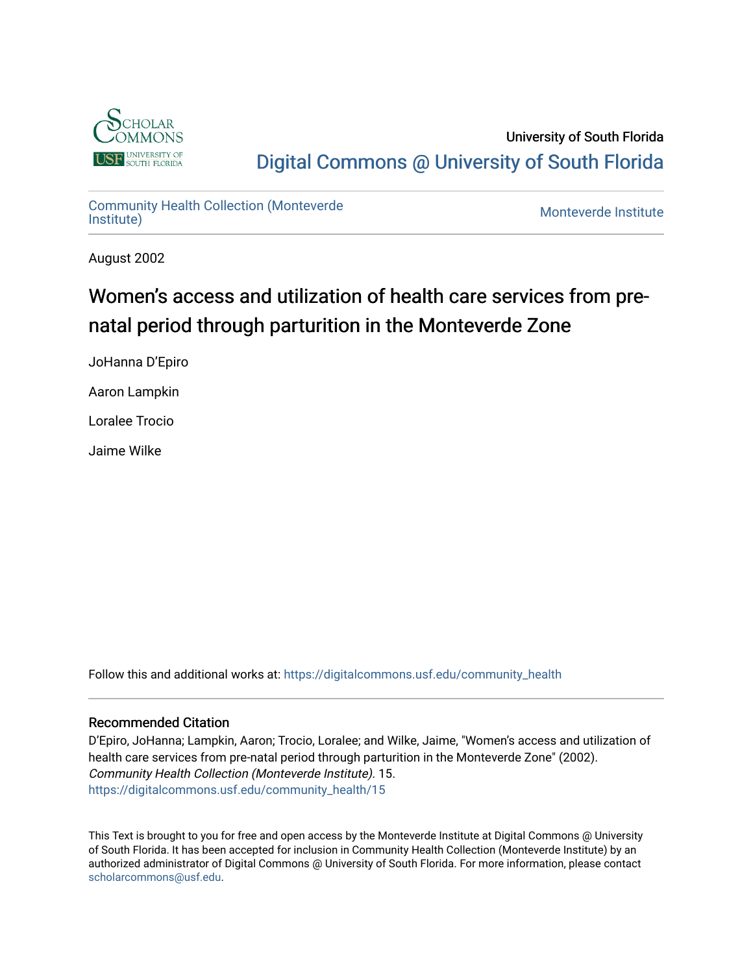

University of South Florida [Digital Commons @ University of South Florida](https://digitalcommons.usf.edu/) 

#### [Community Health Collection \(Monteverde](https://digitalcommons.usf.edu/community_health) Community Health Collection (Monteverde)<br>[Institute\)](https://digitalcommons.usf.edu/community_health) Monteverde Institute

August 2002

# Women's access and utilization of health care services from prenatal period through parturition in the Monteverde Zone

JoHanna D'Epiro

Aaron Lampkin

Loralee Trocio

Jaime Wilke

Follow this and additional works at: [https://digitalcommons.usf.edu/community\\_health](https://digitalcommons.usf.edu/community_health?utm_source=digitalcommons.usf.edu%2Fcommunity_health%2F15&utm_medium=PDF&utm_campaign=PDFCoverPages) 

#### Recommended Citation

D'Epiro, JoHanna; Lampkin, Aaron; Trocio, Loralee; and Wilke, Jaime, "Women's access and utilization of health care services from pre-natal period through parturition in the Monteverde Zone" (2002). Community Health Collection (Monteverde Institute). 15. [https://digitalcommons.usf.edu/community\\_health/15](https://digitalcommons.usf.edu/community_health/15?utm_source=digitalcommons.usf.edu%2Fcommunity_health%2F15&utm_medium=PDF&utm_campaign=PDFCoverPages) 

This Text is brought to you for free and open access by the Monteverde Institute at Digital Commons @ University of South Florida. It has been accepted for inclusion in Community Health Collection (Monteverde Institute) by an authorized administrator of Digital Commons @ University of South Florida. For more information, please contact [scholarcommons@usf.edu.](mailto:scholarcommons@usf.edu)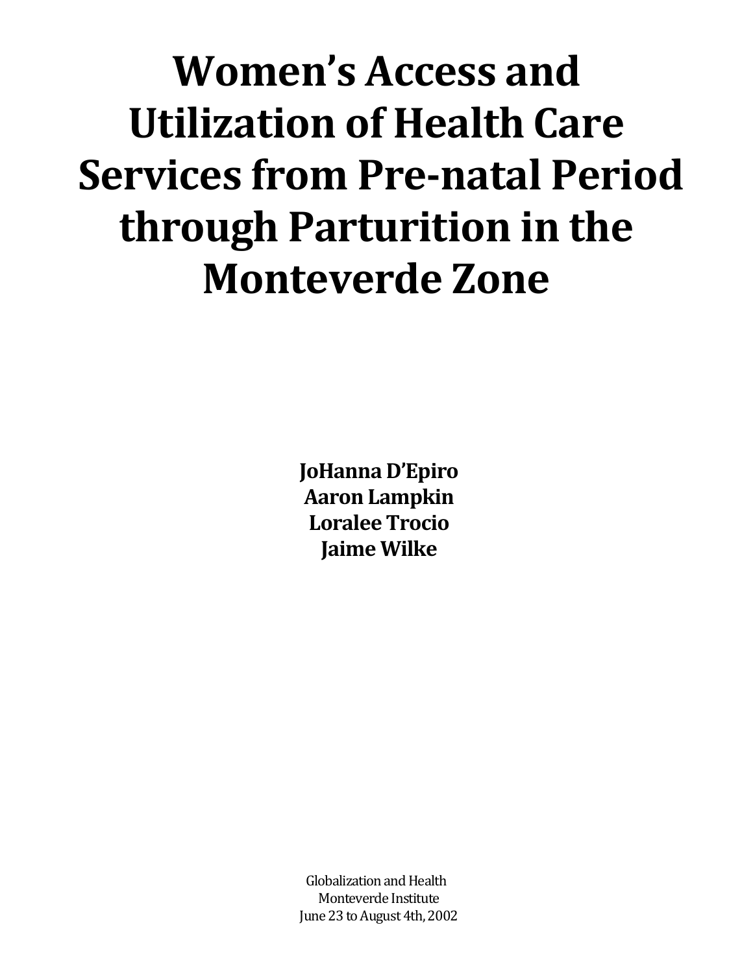# **Women's Access and Utilization of Health Care Services from Pre-natal Period through Parturition in the Monteverde Zone**

**JoHanna D'Epiro Aaron Lampkin Loralee Trocio Jaime Wilke**

Globalization and Health Monteverde Institute June 23 to August 4th, 2002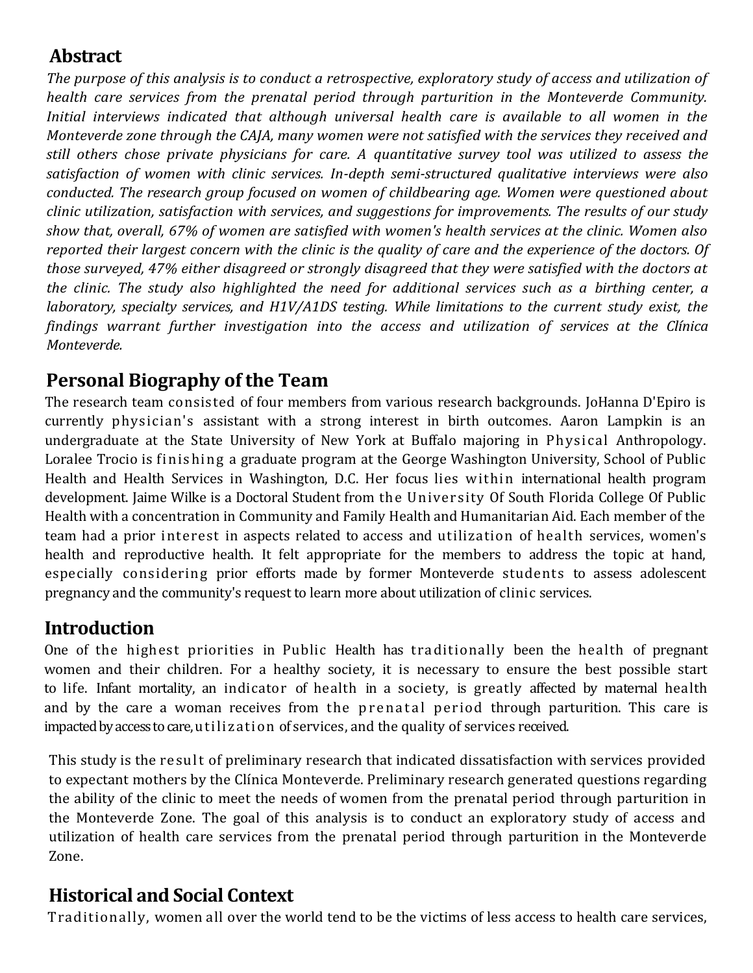# **Abstract**

*The purpose of this analysis is to conduct a retrospective, exploratory study of access and utilization of health care services from the prenatal period through parturition in the Monteverde Community. Initial interviews indicated that although universal health care is available to all women in the Monteverde zone through the CAJA, many women were not satisfied with the services they received and still others chose private physicians for care. A quantitative survey tool was utilized to assess the satisfaction of women with clinic services. In-depth semi-structured qualitative interviews were also conducted. The research group focused on women of childbearing age. Women were questioned about clinic utilization, satisfaction with services, and suggestions for improvements. The results of our study show that, overall, 67% of women are satisfied with women's health services at the clinic. Women also reported their largest concern with the clinic is the quality of care and the experience of the doctors. Of those surveyed, 47% either disagreed or strongly disagreed that they were satisfied with the doctors at the clinic. The study also highlighted the need for additional services such as a birthing center, a laboratory, specialty services, and H1V/A1DS testing. While limitations to the current study exist, the findings warrant further investigation into the access and utilization of services at the Clínica Monteverde.*

# **Personal Biography of the Team**

The research team consisted of four members from various research backgrounds. JoHanna D'Epiro is currently physician's assistant with a strong interest in birth outcomes. Aaron Lampkin is an undergraduate at the State University of New York at Buffalo majoring in Physical Anthropology. Loralee Trocio is finishing a graduate program at the George Washington University, School of Public Health and Health Services in Washington, D.C. Her focus lies within international health program development. Jaime Wilke is a Doctoral Student from the University Of South Florida College Of Public Health with a concentration in Community and Family Health and Humanitarian Aid. Each member of the team had a prior interest in aspects related to access and utilization of health services, women's health and reproductive health. It felt appropriate for the members to address the topic at hand, especially considering prior efforts made by former Monteverde students to assess adolescent pregnancy and the community's request to learn more about utilization of clinic services.

# **Introduction**

One of the highest priorities in Public Health has traditionally been the health of pregnant women and their children. For a healthy society, it is necessary to ensure the best possible start to life. Infant mortality, an indicator of health in a society, is greatly affected by maternal health and by the care a woman receives from the prenatal period through parturition. This care is impacted by access to care, uti li zati on of services, and the quality of services received.

This study is the result of preliminary research that indicated dissatisfaction with services provided to expectant mothers by the Clínica Monteverde. Preliminary research generated questions regarding the ability of the clinic to meet the needs of women from the prenatal period through parturition in the Monteverde Zone. The goal of this analysis is to conduct an exploratory study of access and utilization of health care services from the prenatal period through parturition in the Monteverde Zone.

# **Historical and Social Context**

Traditionally, women all over the world tend to be the victims of less access to health care services,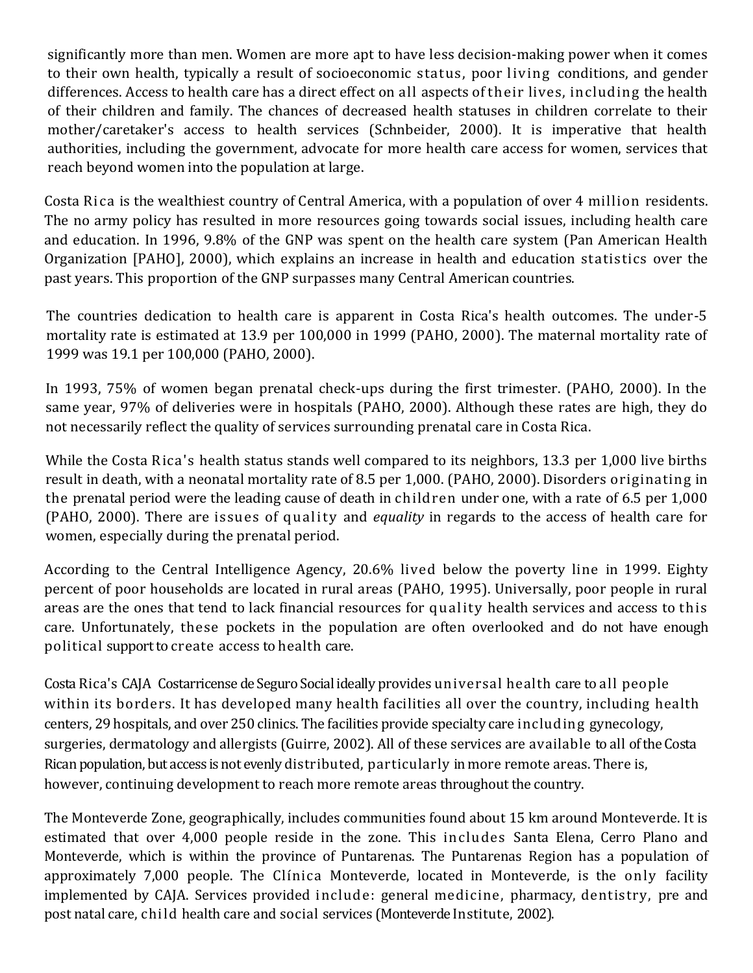significantly more than men. Women are more apt to have less decision-making power when it comes to their own health, typically a result of socioeconomic status, poor living conditions, and gender differences. Access to health care has a direct effect on all aspects of their lives, including the health of their children and family. The chances of decreased health statuses in children correlate to their mother/caretaker's access to health services (Schnbeider, 2000). It is imperative that health authorities, including the government, advocate for more health care access for women, services that reach beyond women into the population at large.

Costa Rica is the wealthiest country of Central America, with a population of over 4 million residents. The no army policy has resulted in more resources going towards social issues, including health care and education. In 1996, 9.8% of the GNP was spent on the health care system (Pan American Health Organization [PAHO], 2000), which explains an increase in health and education statistics over the past years. This proportion of the GNP surpasses many Central American countries.

The countries dedication to health care is apparent in Costa Rica's health outcomes. The under-5 mortality rate is estimated at 13.9 per 100,000 in 1999 (PAHO, 2000). The maternal mortality rate of 1999 was 19.1 per 100,000 (PAHO, 2000).

In 1993, 75% of women began prenatal check-ups during the first trimester. (PAHO, 2000). In the same year, 97% of deliveries were in hospitals (PAHO, 2000). Although these rates are high, they do not necessarily reflect the quality of services surrounding prenatal care in Costa Rica.

While the Costa Rica's health status stands well compared to its neighbors, 13.3 per 1,000 live births result in death, with a neonatal mortality rate of 8.5 per 1,000. (PAHO, 2000). Disorders originating in the prenatal period were the leading cause of death in children under one, with a rate of 6.5 per 1,000 (PAHO, 2000). There are issues of quality and *equality* in regards to the access of health care for women, especially during the prenatal period.

According to the Central Intelligence Agency, 20.6% lived below the poverty line in 1999. Eighty percent of poor households are located in rural areas (PAHO, 1995). Universally, poor people in rural areas are the ones that tend to lack financial resources for quality health services and access to this care. Unfortunately, these pockets in the population are often overlooked and do not have enough political support to create access to health care.

Costa Rica's CAJA Costarricense de Seguro Social ideally provides universal health care to all people within its borders. It has developed many health facilities all over the country, including health centers, 29 hospitals, and over 250 clinics. The facilities provide specialty care including gynecology, surgeries, dermatology and allergists (Guirre, 2002). All of these services are available to all of the Costa Rican population, but access is not evenly distributed, particularly in more remote areas. There is, however, continuing development to reach more remote areas throughout the country.

The Monteverde Zone, geographically, includes communities found about 15 km around Monteverde. It is estimated that over 4,000 people reside in the zone. This includes Santa Elena, Cerro Plano and Monteverde, which is within the province of Puntarenas. The Puntarenas Region has a population of approximately 7,000 people. The Clínica Monteverde, located in Monteverde, is the only facility implemented by CAJA. Services provided include: general medicine, pharmacy, dentistry, pre and post natal care, child health care and social services (Monteverde Institute, 2002).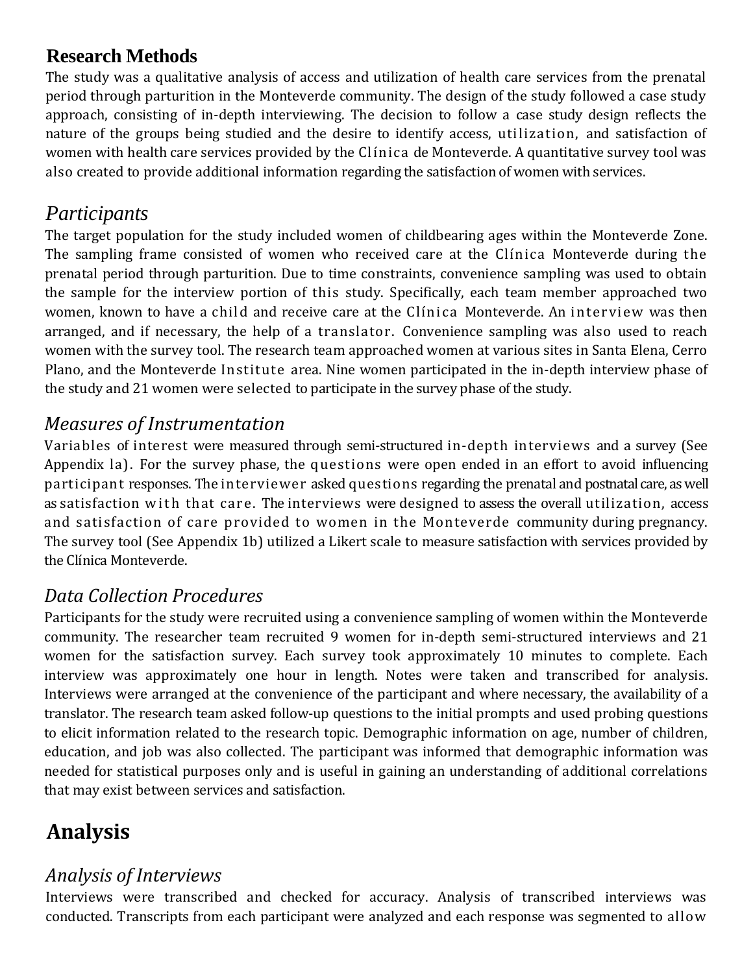# **Research Methods**

The study was a qualitative analysis of access and utilization of health care services from the prenatal period through parturition in the Monteverde community. The design of the study followed a case study approach, consisting of in-depth interviewing. The decision to follow a case study design reflects the nature of the groups being studied and the desire to identify access, utilization, and satisfaction of women with health care services provided by the Clínica de Monteverde. A quantitative survey tool was also created to provide additional information regarding the satisfaction of women with services.

# *Participants*

The target population for the study included women of childbearing ages within the Monteverde Zone. The sampling frame consisted of women who received care at the Clínica Monteverde during the prenatal period through parturition. Due to time constraints, convenience sampling was used to obtain the sample for the interview portion of this study. Specifically, each team member approached two women, known to have a child and receive care at the Clínica Monteverde. An interview was then arranged, and if necessary, the help of a translator. Convenience sampling was also used to reach women with the survey tool. The research team approached women at various sites in Santa Elena, Cerro Plano, and the Monteverde Institute area. Nine women participated in the in-depth interview phase of the study and 21 women were selected to participate in the survey phase of the study.

# *Measures of Instrumentation*

Variables of interest were measured through semi-structured in-depth interviews and a survey (See Appendix la). For the survey phase, the questions were open ended in an effort to avoid influencing participant responses. The interviewer asked questions regarding the prenatal and postnatal care, as well as satisfaction with that care. The interviews were designed to assess the overall utilization, access and satisfaction of care provided to women in the Monteverde community during pregnancy. The survey tool (See Appendix 1b) utilized a Likert scale to measure satisfaction with services provided by the Clínica Monteverde.

# *Data Collection Procedures*

Participants for the study were recruited using a convenience sampling of women within the Monteverde community. The researcher team recruited 9 women for in-depth semi-structured interviews and 21 women for the satisfaction survey. Each survey took approximately 10 minutes to complete. Each interview was approximately one hour in length. Notes were taken and transcribed for analysis. Interviews were arranged at the convenience of the participant and where necessary, the availability of a translator. The research team asked follow-up questions to the initial prompts and used probing questions to elicit information related to the research topic. Demographic information on age, number of children, education, and job was also collected. The participant was informed that demographic information was needed for statistical purposes only and is useful in gaining an understanding of additional correlations that may exist between services and satisfaction.

# **Analysis**

# *Analysis of Interviews*

Interviews were transcribed and checked for accuracy. Analysis of transcribed interviews was conducted. Transcripts from each participant were analyzed and each response was segmented to allow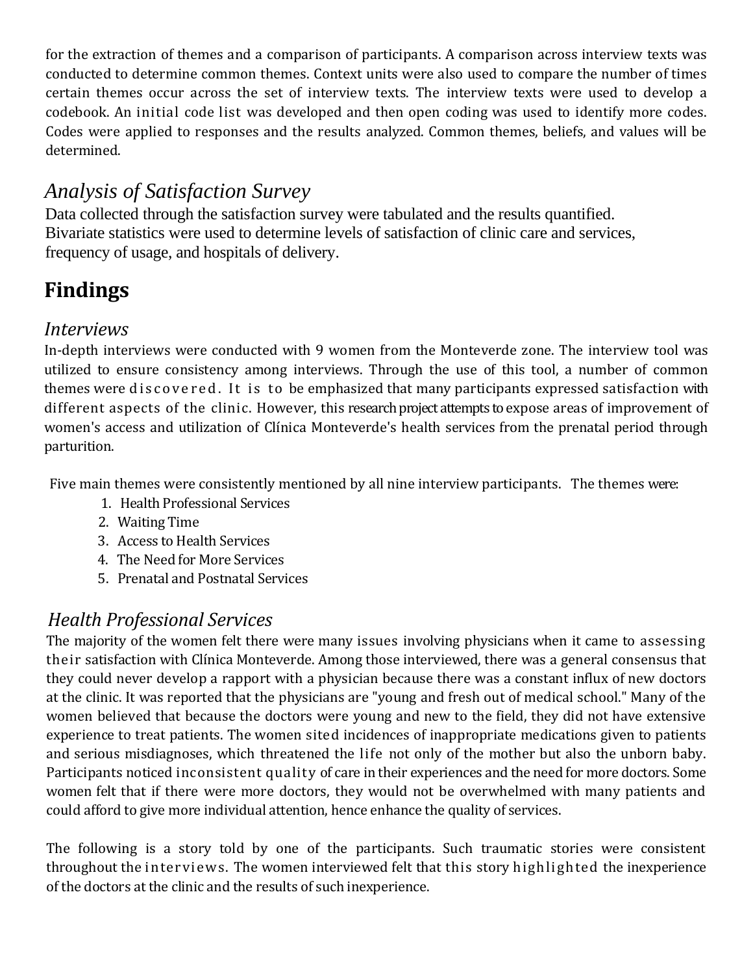for the extraction of themes and a comparison of participants. A comparison across interview texts was conducted to determine common themes. Context units were also used to compare the number of times certain themes occur across the set of interview texts. The interview texts were used to develop a codebook. An initial code list was developed and then open coding was used to identify more codes. Codes were applied to responses and the results analyzed. Common themes, beliefs, and values will be determined.

# *Analysis of Satisfaction Survey*

Data collected through the satisfaction survey were tabulated and the results quantified. Bivariate statistics were used to determine levels of satisfaction of clinic care and services, frequency of usage, and hospitals of delivery.

# **Findings**

## *Interviews*

In-depth interviews were conducted with 9 women from the Monteverde zone. The interview tool was utilized to ensure consistency among interviews. Through the use of this tool, a number of common themes were discovered. It is to be emphasized that many participants expressed satisfaction with different aspects of the clinic. However, this research project attempts to expose areas of improvement of women's access and utilization of Clínica Monteverde's health services from the prenatal period through parturition.

Five main themes were consistently mentioned by all nine interview participants. The themes were:

- 1. Health Professional Services
- 2. Waiting Time
- 3. Access to Health Services
- 4. The Need for More Services
- 5. Prenatal and Postnatal Services

# *Health Professional Services*

The majority of the women felt there were many issues involving physicians when it came to assessing their satisfaction with Clínica Monteverde. Among those interviewed, there was a general consensus that they could never develop a rapport with a physician because there was a constant influx of new doctors at the clinic. It was reported that the physicians are "young and fresh out of medical school." Many of the women believed that because the doctors were young and new to the field, they did not have extensive experience to treat patients. The women sited incidences of inappropriate medications given to patients and serious misdiagnoses, which threatened the life not only of the mother but also the unborn baby. Participants noticed inconsistent quality of care in their experiences and the need for more doctors. Some women felt that if there were more doctors, they would not be overwhelmed with many patients and could afford to give more individual attention, hence enhance the quality of services.

The following is a story told by one of the participants. Such traumatic stories were consistent throughout the interviews. The women interviewed felt that this story highlighted the inexperience of the doctors at the clinic and the results of such inexperience.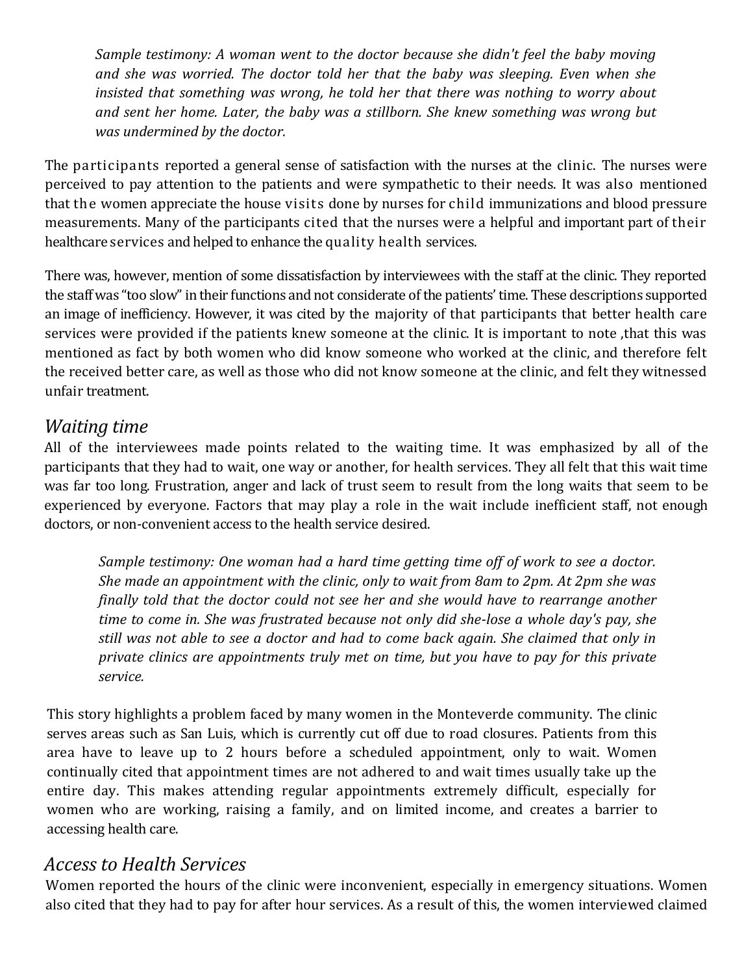*Sample testimony: A woman went to the doctor because she didn't feel the baby moving and she was worried. The doctor told her that the baby was sleeping. Even when she insisted that something was wrong, he told her that there was nothing to worry about and sent her home. Later, the baby was a stillborn. She knew something was wrong but was undermined by the doctor.*

The participants reported a general sense of satisfaction with the nurses at the clinic. The nurses were perceived to pay attention to the patients and were sympathetic to their needs. It was also mentioned that the women appreciate the house visits done by nurses for child immunizations and blood pressure measurements. Many of the participants cited that the nurses were a helpful and important part of their healthcare services and helped to enhance the quality health services.

There was, however, mention of some dissatisfaction by interviewees with the staff at the clinic. They reported the staff was "too slow" in their functions and not considerate of the patients' time. These descriptions supported an image of inefficiency. However, it was cited by the majority of that participants that better health care services were provided if the patients knew someone at the clinic. It is important to note ,that this was mentioned as fact by both women who did know someone who worked at the clinic, and therefore felt the received better care, as well as those who did not know someone at the clinic, and felt they witnessed unfair treatment.

#### *Waiting time*

All of the interviewees made points related to the waiting time. It was emphasized by all of the participants that they had to wait, one way or another, for health services. They all felt that this wait time was far too long. Frustration, anger and lack of trust seem to result from the long waits that seem to be experienced by everyone. Factors that may play a role in the wait include inefficient staff, not enough doctors, or non-convenient access to the health service desired.

*Sample testimony: One woman had a hard time getting time off of work to see a doctor. She made an appointment with the clinic, only to wait from 8am to 2pm. At 2pm she was finally told that the doctor could not see her and she would have to rearrange another time to come in. She was frustrated because not only did she-lose a whole day's pay, she still was not able to see a doctor and had to come back again. She claimed that only in private clinics are appointments truly met on time, but you have to pay for this private service.*

This story highlights a problem faced by many women in the Monteverde community. The clinic serves areas such as San Luis, which is currently cut off due to road closures. Patients from this area have to leave up to 2 hours before a scheduled appointment, only to wait. Women continually cited that appointment times are not adhered to and wait times usually take up the entire day. This makes attending regular appointments extremely difficult, especially for women who are working, raising a family, and on limited income, and creates a barrier to accessing health care.

#### *Access to Health Services*

Women reported the hours of the clinic were inconvenient, especially in emergency situations. Women also cited that they had to pay for after hour services. As a result of this, the women interviewed claimed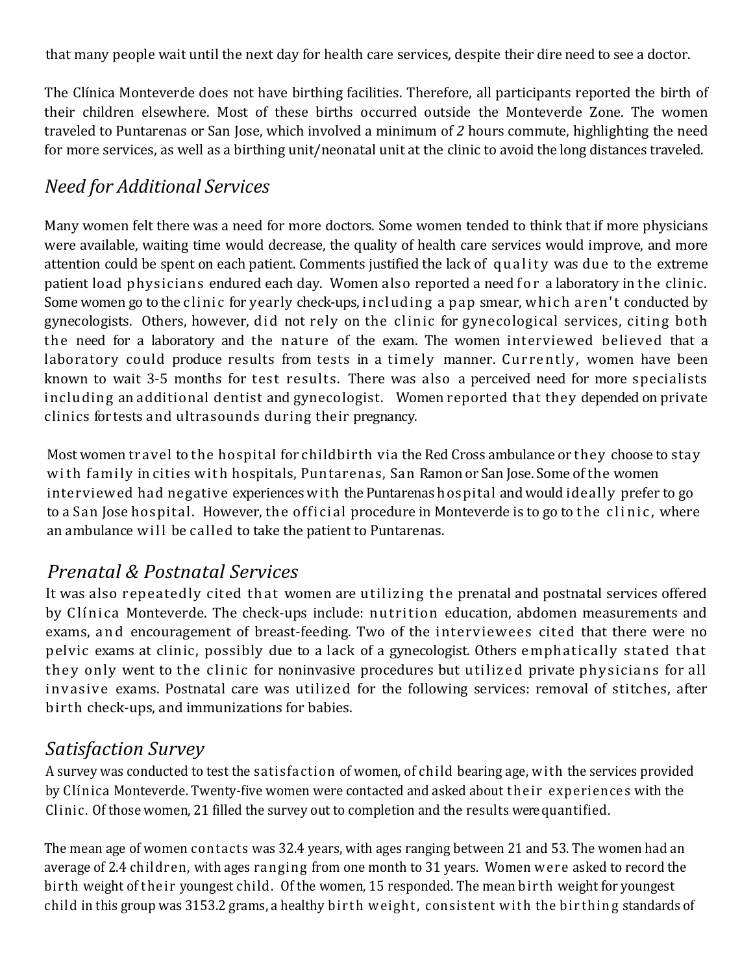that many people wait until the next day for health care services, despite their dire need to see a doctor.

The Clínica Monteverde does not have birthing facilities. Therefore, all participants reported the birth of their children elsewhere. Most of these births occurred outside the Monteverde Zone. The women traveled to Puntarenas or San Jose, which involved a minimum of *2* hours commute, highlighting the need for more services, as well as a birthing unit/neonatal unit at the clinic to avoid the long distances traveled.

# *Need for Additional Services*

Many women felt there was a need for more doctors. Some women tended to think that if more physicians were available, waiting time would decrease, the quality of health care services would improve, and more attention could be spent on each patient. Comments justified the lack of quality was due to the extreme patient load physicians endured each day. Women also reported a need for a laboratory in the clinic. Some women go to the clinic for yearly check-ups, including a pap smear, which aren't conducted by gynecologists. Others, however, did not rely on the clinic for gynecological services, citing both the need for a laboratory and the nature of the exam. The women interviewed believed that a laboratory could produce results from tests in a timely manner. Currently, women have been known to wait 3-5 months for test results. There was also a perceived need for more specialists including an additional dentist and gynecologist. Women reported that they depended on private clinics for tests and ultrasounds during their pregnancy.

Most women travel to the hospital for childbirth via the Red Cross ambulance or they choose to stay with family in cities with hospitals, Puntarenas, San Ramon or San Jose. Some of the women interviewed had negative experiences with the Puntarenas hospital and would ideally prefer to go to a San Jose hospital. However, the official procedure in Monteverde is to go to the clinic, where an ambulance will be called to take the patient to Puntarenas.

# *Prenatal & Postnatal Services*

It was also repeatedly cited that women are utilizing the prenatal and postnatal services offered by Clínica Monteverde. The check-ups include: nutrition education, abdomen measurements and exams, and encouragement of breast-feeding. Two of the interviewees cited that there were no pelvic exams at clinic, possibly due to a lack of a gynecologist. Others emphatically stated that they only went to the clinic for noninvasive procedures but utilized private physicians for all invasive exams. Postnatal care was utilized for the following services: removal of stitches, after birth check-ups, and immunizations for babies.

## *Satisfaction Survey*

A survey was conducted to test the satisfaction of women, of child bearing age, with the services provided by Clínica Monteverde. Twenty-five women were contacted and asked about their experiences with the Clinic. Of those women, 21 filled the survey out to completion and the results were quantified.

The mean age of women contacts was 32.4 years, with ages ranging between 21 and 53. The women had an average of 2.4 children, with ages ranging from one month to 31 years. Women were asked to record the birth weight of their youngest child. Of the women, 15 responded. The mean birth weight for youngest child in this group was 3153.2 grams, a healthy birth weight, consistent with the birthing standards of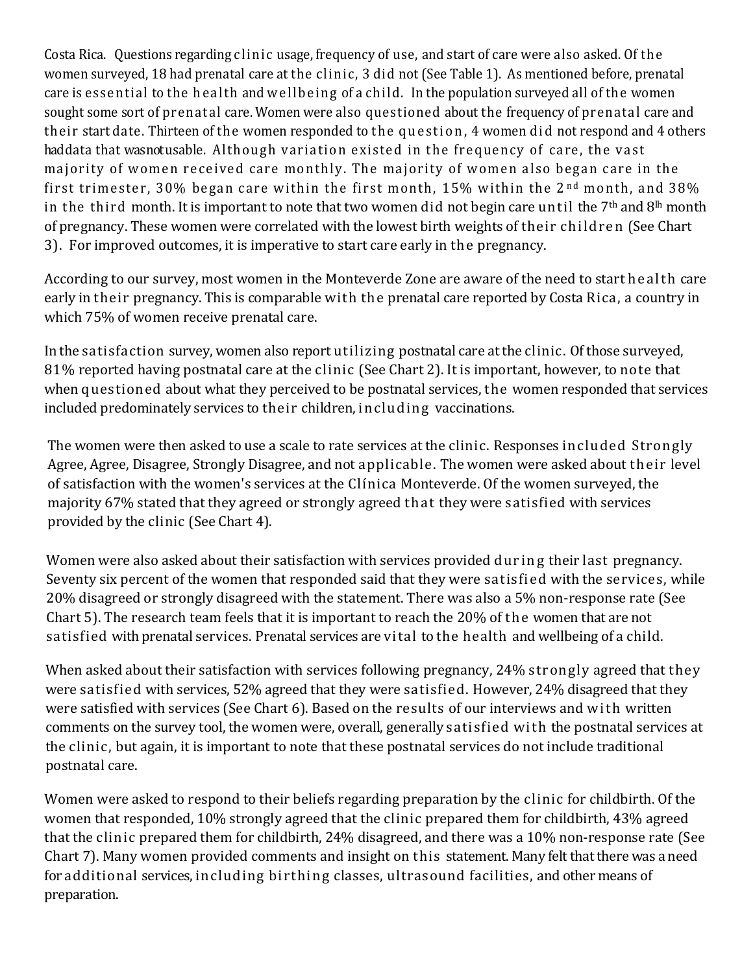Costa Rica. Questions regarding clinic usage, frequency of use, and start of care were also asked. Of th e women surveyed, 18 had prenatal care at the clinic, 3 did not (See Table 1). As mentioned before, prenatal care is essential to the health and wellbeing of a child. In the population surveyed all of the women sought some sort of prenatal care. Women were also questioned about the frequency of prenatal care and their start date. Thirteen of the women responded to the question, 4 women did not respond and 4 others haddata that was not usable. Although variation existed in the frequency of care, the vast majority of women received care monthly. The majority of women also began care in the first trimester, 30% began care within the first month, 15% within the  $2^{nd}$  month, and 38% in the third month. It is important to note that two women did not begin care until the 7<sup>th</sup> and 8<sup>th</sup> month of pregnancy. These women were correlated with the lowest birth weights of their children (See Chart 3). For improved outcomes, it is imperative to start care early in the pregnancy.

According to our survey, most women in the Monteverde Zone are aware of the need to start hea lth care early in their pregnancy. This is comparable with the prenatal care reported by Costa Rica, a country in which 75% of women receive prenatal care.

In the satisfaction survey, women also report utilizing postnatal care at the clinic. Of those surveyed, 81% reported having postnatal care at the clinic (See Chart 2). It is important, however, to note that when questioned about what they perceived to be postnatal services, the women responded that services included predominately services to their children, including vaccinations.

The women were then asked to use a scale to rate services at the clinic. Responses included Strongly Agree, Agree, Disagree, Strongly Disagree, and not applicable. The women were asked about their level of satisfaction with the women's services at the Clínica Monteverde. Of the women surveyed, the majority 67% stated that they agreed or strongly agreed that they were satisfied with services provided by the clinic (See Chart 4).

Women were also asked about their satisfaction with services provided during their last pregnancy. Seventy six percent of the women that responded said that they were satisfied with the services, while 20% disagreed or strongly disagreed with the statement. There was also a 5% non-response rate (See Chart 5). The research team feels that it is important to reach the 20% of the women that are not satisfied with prenatal services. Prenatal services are vital to the health and wellbeing of a child.

When asked about their satisfaction with services following pregnancy, 24% strongly agreed that they were satisfied with services, 52% agreed that they were satisfied. However, 24% disagreed that they were satisfied with services (See Chart 6). Based on the results of our interviews and with written comments on the survey tool, the women were, overall, generally satisfied with the postnatal services at the clinic, but again, it is important to note that these postnatal services do not include traditional postnatal care.

Women were asked to respond to their beliefs regarding preparation by the clinic for childbirth. Of the women that responded, 10% strongly agreed that the clinic prepared them for childbirth, 43% agreed that the clinic prepared them for childbirth, 24% disagreed, and there was a 10% non-response rate (See Chart 7). Many women provided comments and insight on this statement. Many felt that there was a need for additional services, including birthing classes, ultrasound facilities, and other means of preparation.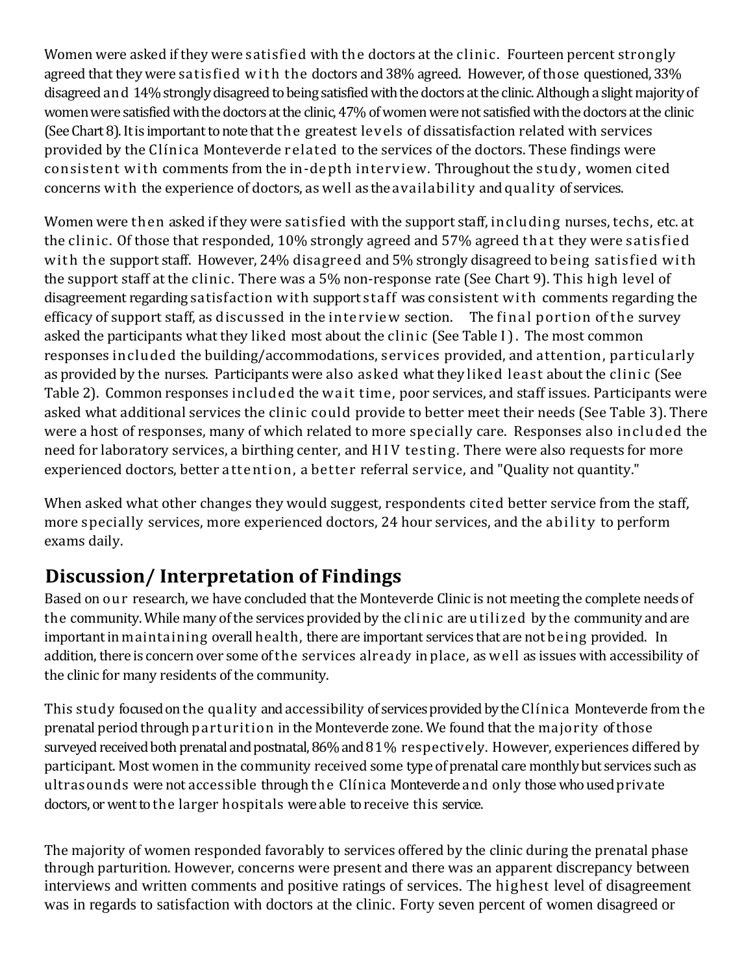Women were asked if they were satisfied with the doctors at the clinic. Fourteen percent strongly agreed that they were satisfied with the doctors and 38% agreed. However, of those questioned, 33% disagreed and 14% strongly disagreed to being satisfied with the doctors at the clinic. Although a slight majority of women were satisfied with the doctors at the clinic, 47% of women were not satisfied with the doctors at the clinic (See Chart 8). It is important to note that the greatest levels of dissatisfaction related with services provided by the Clínica Monteverde related to the services of the doctors. These findings were consistent with comments from the in-depth interview. Throughout the study, women cited concerns with the experience of doctors, as well as the availability and quality of services.

Women were then asked if they were satisfied with the support staff, including nurses, techs, etc. at the clinic. Of those that responded, 10% strongly agreed and 57% agreed that they were satisfied with the support staff. However, 24% disagreed and 5% strongly disagreed to being satisfied with the support staff at the clinic. There was a 5% non-response rate (See Chart 9). This high level of disagreement regarding satisfaction with support staff was consistent with comments regarding the efficacy of support staff, as discussed in the interview section. The final portion of the survey asked the participants what they liked most about the clinic (See Table I ) . The most common responses included the building/accommodations, services provided, and attention, particularly as provided by the nurses. Participants were also asked what they liked least about the clinic (See Table 2). Common responses included the wait time, poor services, and staff issues. Participants were asked what additional services the clinic could provide to better meet their needs (See Table 3). There were a host of responses, many of which related to more specially care. Responses also included the need for laboratory services, a birthing center, and H I V testing. There were also requests for more experienced doctors, better attention, a better referral service, and "Quality not quantity."

When asked what other changes they would suggest, respondents cited better service from the staff, more specially services, more experienced doctors, 24 hour services, and the ability to perform exams daily.

# **Discussion/ Interpretation of Findings**

Based on our research, we have concluded that the Monteverde Clinic is not meeting the complete needs of the community. While many of the services provided by the clinic are utilized by the community and are important in maintaining overall health, there are important services that are not being provided. In addition, there is concern over some of the services already in place, as well as issues with accessibility of the clinic for many residents of the community.

This study focused on the quality and accessibility of services provided by the Clínica Monteverde from the prenatal period through parturition in the Monteverde zone. We found that the majority of those surveyed received both prenatal and postnatal, 86% and 81% respectively. However, experiences differed by participant. Most women in the community received some type of prenatal care monthly but services such as ultrasounds were not accessible through the Clínica Monteverde and only those who used private doctors, or went to the larger hospitals were able to receive this service.

The majority of women responded favorably to services offered by the clinic during the prenatal phase through parturition. However, concerns were present and there was an apparent discrepancy between interviews and written comments and positive ratings of services. The highest level of disagreement was in regards to satisfaction with doctors at the clinic. Forty seven percent of women disagreed or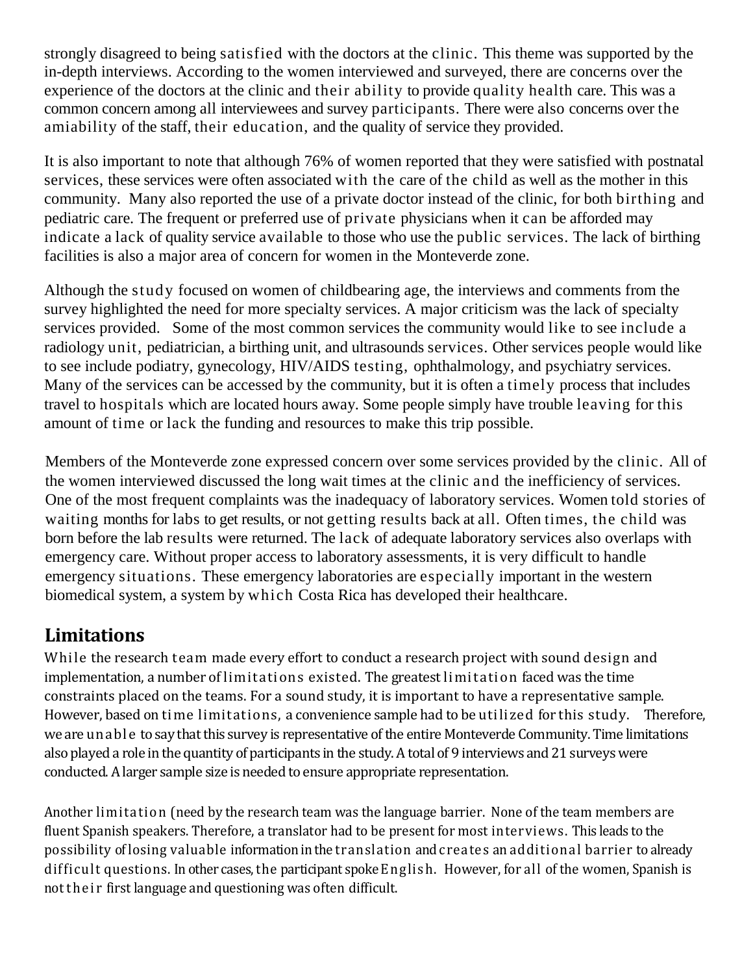strongly disagreed to being satisfied with the doctors at the clinic. This theme was supported by the in-depth interviews. According to the women interviewed and surveyed, there are concerns over the experience of the doctors at the clinic and their ability to provide quality health care. This was a common concern among all interviewees and survey participants. There were also concerns over the amiability of the staff, their education, and the quality of service they provided.

It is also important to note that although 76% of women reported that they were satisfied with postnatal services, these services were often associated with the care of the child as well as the mother in this community. Many also reported the use of a private doctor instead of the clinic, for both birthing and pediatric care. The frequent or preferred use of private physicians when it can be afforded may indicate a lack of quality service available to those who use the public services. The lack of birthing facilities is also a major area of concern for women in the Monteverde zone.

Although the study focused on women of childbearing age, the interviews and comments from the survey highlighted the need for more specialty services. A major criticism was the lack of specialty services provided. Some of the most common services the community would like to see include a radiology unit, pediatrician, a birthing unit, and ultrasounds services. Other services people would like to see include podiatry, gynecology, HIV/AIDS testing, ophthalmology, and psychiatry services. Many of the services can be accessed by the community, but it is often a timely process that includes travel to hospitals which are located hours away. Some people simply have trouble leaving for this amount of time or lack the funding and resources to make this trip possible.

Members of the Monteverde zone expressed concern over some services provided by the clinic. All of the women interviewed discussed the long wait times at the clinic and the inefficiency of services. One of the most frequent complaints was the inadequacy of laboratory services. Women told stories of waiting months for labs to get results, or not getting results back at all. Often times, the child was born before the lab results were returned. The lack of adequate laboratory services also overlaps with emergency care. Without proper access to laboratory assessments, it is very difficult to handle emergency situations. These emergency laboratories are especially important in the western biomedical system, a system by which Costa Rica has developed their healthcare.

## **Limitations**

While the research team made every effort to conduct a research project with sound design and implementation, a number of limitations existed. The greatest limitation faced was the time constraints placed on the teams. For a sound study, it is important to have a representative sample. However, based on time limitations, a convenience sample had to be utilized for this study. Therefore, we are unable to say that this survey is representative of the entire Monteverde Community. Time limitations also played a role in the quantity of participants in the study. A total of 9 interviews and 21 surveys were conducted. A larger sample size is needed to ensure appropriate representation.

Another limitation (need by the research team was the language barrier. None of the team members are fluent Spanish speakers. Therefore, a translator had to be present for most interviews. This leads to the possibility of losing valuable information in the translation and creates an additional barrier to already difficult questions. In other cases, the participant spoke English. However, for all of the women, Spanish is not the ir first language and questioning was often difficult.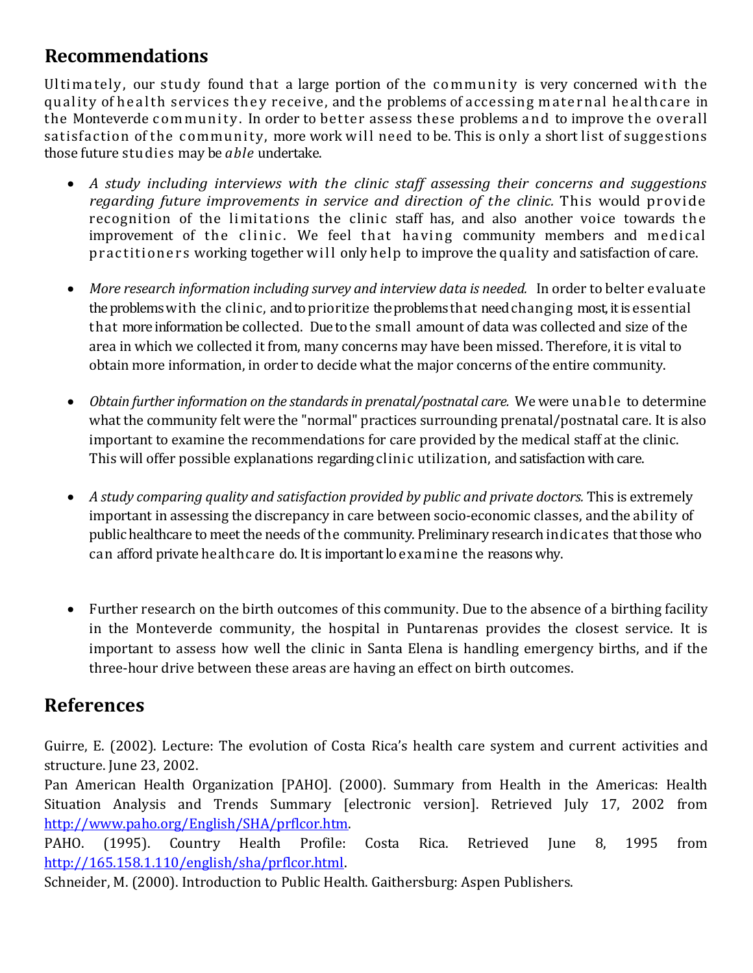# **Recommendations**

Ultimately, our study found that a large portion of the community is very concerned with the quality of health services they receive, and the problems of accessing maternal healthcare in the Monteverde community. In order to better assess these problems and to improve the overall satisfaction of the community, more work will need to be. This is only a short list of suggestions those future studies may be *able* undertake.

- *A study including interviews with the clinic staff assessing their concerns and suggestions regarding future improvements in service and direction of the clinic.* This would provide recognition of the limitations the clinic staff has, and also another voice towards the improvement of the clinic. We feel that having community members and medical practitioners working together will only help to improve the quality and satisfaction of care.
- More research information including survey and interview data is needed. In order to belter evaluate the problems with the clinic, and to prioritize the problems that need changing most, it is essential that more information be collected. Due to the small amount of data was collected and size of the area in which we collected it from, many concerns may have been missed. Therefore, it is vital to obtain more information, in order to decide what the major concerns of the entire community.
- Obtain further information on the standards in prenatal/postnatal care. We were unable to determine what the community felt were the "normal" practices surrounding prenatal/postnatal care. It is also important to examine the recommendations for care provided by the medical staff at the clinic. This will offer possible explanations regarding clinic utilization, and satisfaction with care.
- A *study comparing quality and satisfaction provided by public and private doctors. This is extremely* important in assessing the discrepancy in care between socio-economic classes, and the ability of public healthcare to meet the needs of the community. Preliminary research indicates that those who can afford private healthcare do. It is important lo examine the reasons why.
- Further research on the birth outcomes of this community. Due to the absence of a birthing facility in the Monteverde community, the hospital in Puntarenas provides the closest service. It is important to assess how well the clinic in Santa Elena is handling emergency births, and if the three-hour drive between these areas are having an effect on birth outcomes.

# **References**

Guirre, E. (2002). Lecture: The evolution of Costa Rica's health care system and current activities and structure. June 23, 2002.

Pan American Health Organization [PAHO]. (2000). Summary from Health in the Americas: Health Situation Analysis and Trends Summary [electronic version]. Retrieved July 17, 2002 from [http://www.paho.org/English/SHA/prflcor.htm.](http://www.paho.org/English/SHA/prflcor.htm)

PAHO. (1995). Country Health Profile: Costa Rica. Retrieved June 8, 1995 from [http://165.158.1.110/english/sha/prflcor.html.](http://165.158.1.110/english/sha/prflcor.html)

Schneider, M. (2000). Introduction to Public Health. Gaithersburg: Aspen Publishers.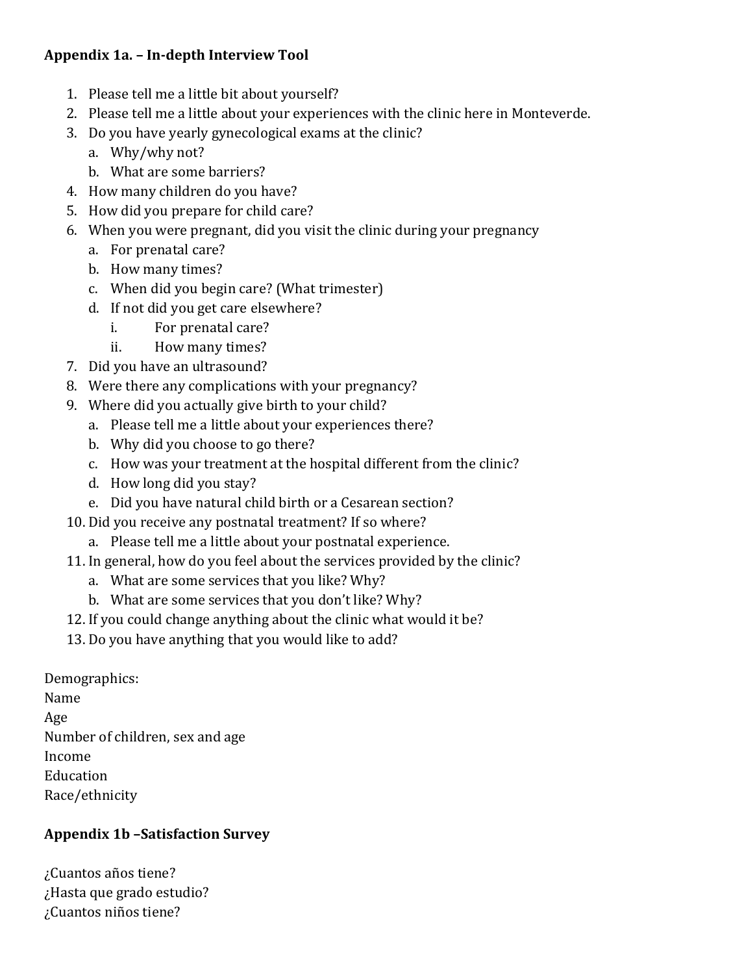#### **Appendix 1a. – In-depth Interview Tool**

- 1. Please tell me a little bit about yourself?
- 2. Please tell me a little about your experiences with the clinic here in Monteverde.
- 3. Do you have yearly gynecological exams at the clinic?
	- a. Why/why not?
	- b. What are some barriers?
- 4. How many children do you have?
- 5. How did you prepare for child care?
- 6. When you were pregnant, did you visit the clinic during your pregnancy
	- a. For prenatal care?
	- b. How many times?
	- c. When did you begin care? (What trimester)
	- d. If not did you get care elsewhere?
		- i. For prenatal care?
		- ii. How many times?
- 7. Did you have an ultrasound?
- 8. Were there any complications with your pregnancy?
- 9. Where did you actually give birth to your child?
	- a. Please tell me a little about your experiences there?
	- b. Why did you choose to go there?
	- c. How was your treatment at the hospital different from the clinic?
	- d. How long did you stay?
	- e. Did you have natural child birth or a Cesarean section?
- 10. Did you receive any postnatal treatment? If so where?
	- a. Please tell me a little about your postnatal experience.
- 11. In general, how do you feel about the services provided by the clinic?
	- a. What are some services that you like? Why?
	- b. What are some services that you don't like? Why?
- 12. If you could change anything about the clinic what would it be?
- 13. Do you have anything that you would like to add?

Demographics:

Name Age Number of children, sex and age Income Education

Race/ethnicity

#### **Appendix 1b –Satisfaction Survey**

¿Cuantos años tiene? ¿Hasta que grado estudio? ¿Cuantos niños tiene?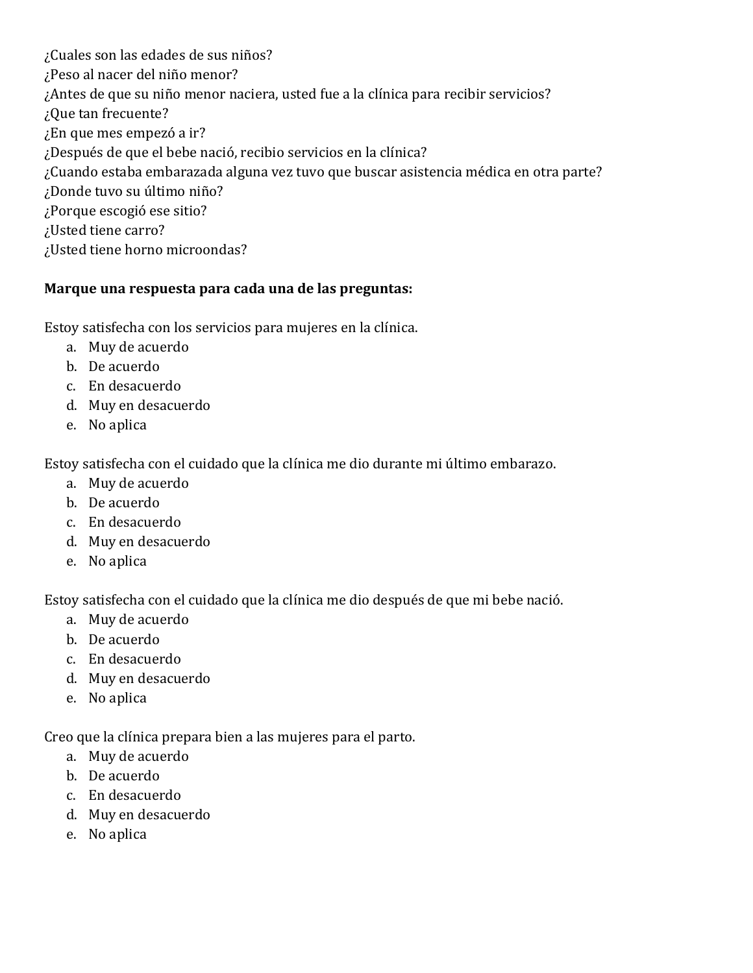¿Cuales son las edades de sus niños? ¿Peso al nacer del niño menor? ¿Antes de que su niño menor naciera, usted fue a la clínica para recibir servicios? ¿Que tan frecuente? ¿En que mes empezó a ir? ¿Después de que el bebe nació, recibio servicios en la clínica? ¿Cuando estaba embarazada alguna vez tuvo que buscar asistencia médica en otra parte? ¿Donde tuvo su último niño? ¿Porque escogió ese sitio? ¿Usted tiene carro? ¿Usted tiene horno microondas?

#### **Marque una respuesta para cada una de las preguntas:**

Estoy satisfecha con los servicios para mujeres en la clínica.

- a. Muy de acuerdo
- b. De acuerdo
- c. En desacuerdo
- d. Muy en desacuerdo
- e. No aplica

Estoy satisfecha con el cuidado que la clínica me dio durante mi último embarazo.

- a. Muy de acuerdo
- b. De acuerdo
- c. En desacuerdo
- d. Muy en desacuerdo
- e. No aplica

Estoy satisfecha con el cuidado que la clínica me dio después de que mi bebe nació.

- a. Muy de acuerdo
- b. De acuerdo
- c. En desacuerdo
- d. Muy en desacuerdo
- e. No aplica

Creo que la clínica prepara bien a las mujeres para el parto.

- a. Muy de acuerdo
- b. De acuerdo
- c. En desacuerdo
- d. Muy en desacuerdo
- e. No aplica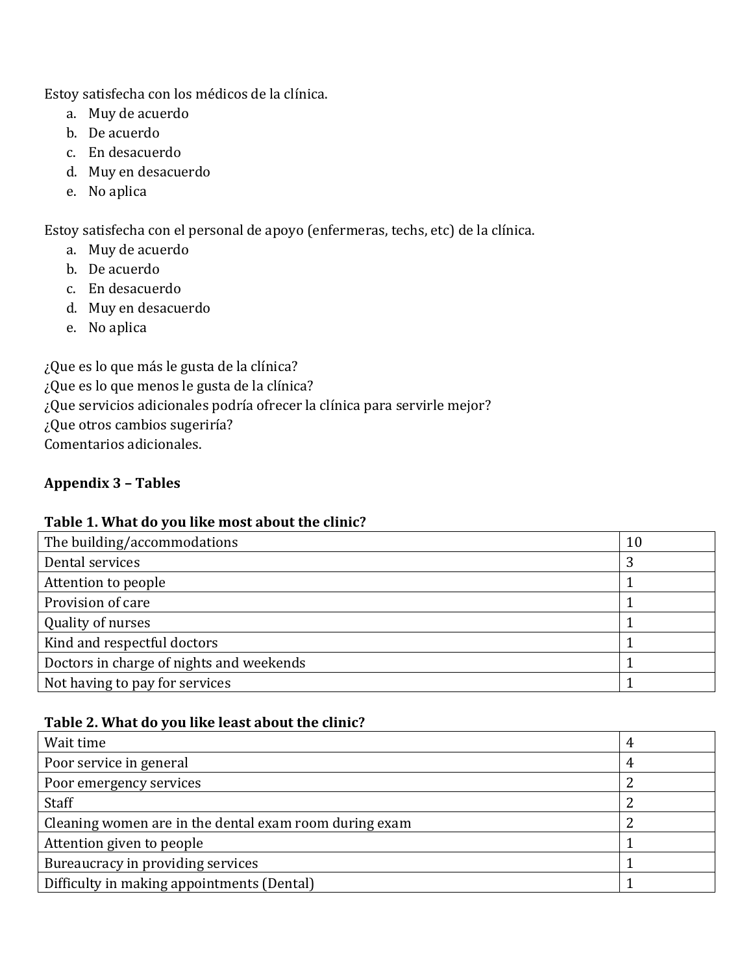Estoy satisfecha con los médicos de la clínica.

- a. Muy de acuerdo
- b. De acuerdo
- c. En desacuerdo
- d. Muy en desacuerdo
- e. No aplica

Estoy satisfecha con el personal de apoyo (enfermeras, techs, etc) de la clínica.

- a. Muy de acuerdo
- b. De acuerdo
- c. En desacuerdo
- d. Muy en desacuerdo
- e. No aplica

¿Que es lo que más le gusta de la clínica?

¿Que es lo que menos le gusta de la clínica?

¿Que servicios adicionales podría ofrecer la clínica para servirle mejor?

¿Que otros cambios sugeriría?

Comentarios adicionales.

#### **Appendix 3 – Tables**

#### **Table 1. What do you like most about the clinic?**

| The building/accommodations              | 10 |
|------------------------------------------|----|
| Dental services                          | 3  |
| Attention to people                      |    |
| Provision of care                        |    |
| Quality of nurses                        |    |
| Kind and respectful doctors              |    |
| Doctors in charge of nights and weekends |    |
| Not having to pay for services           |    |
|                                          |    |

#### **Table 2. What do you like least about the clinic?**

| Wait time                                              | 4 |
|--------------------------------------------------------|---|
| Poor service in general                                |   |
| Poor emergency services                                |   |
| Staff                                                  |   |
| Cleaning women are in the dental exam room during exam |   |
| Attention given to people                              |   |
| Bureaucracy in providing services                      |   |
| Difficulty in making appointments (Dental)             |   |